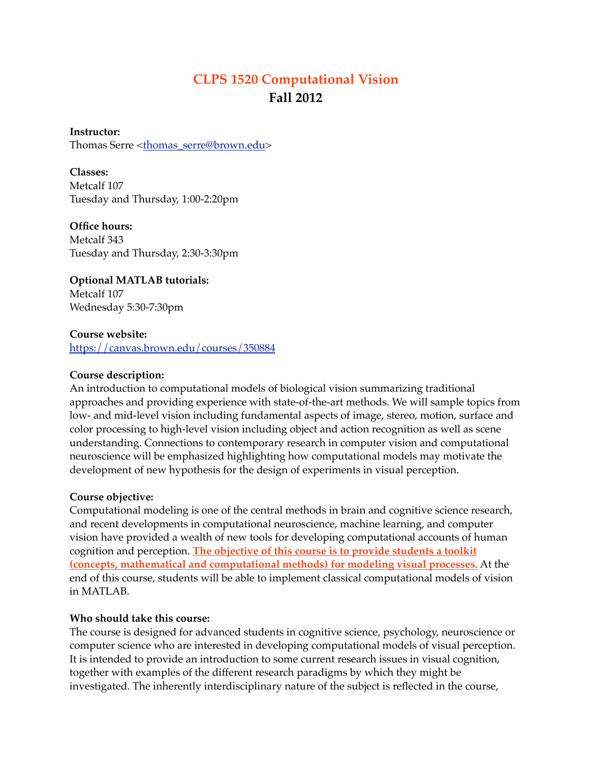# **CLPS 1520 Computational Vision Fall 2012**

**Instructor:**  Thomas Serre <[thomas\\_serre@brown.edu](mailto:thomas_serre@brown.edu)>

**Classes:** Metcalf 107 Tuesday and Thursday, 1:00-2:20pm

**Office hours:** Metcalf 343 Tuesday and Thursday, 2:30-3:30pm

**Optional MATLAB tutorials:** Metcalf 107 Wednesday 5:30-7:30pm

**Course website:** <https://canvas.brown.edu/courses/350884>

### **Course description:**

An introduction to computational models of biological vision summarizing traditional approaches and providing experience with state-of-the-art methods. We will sample topics from low- and mid-level vision including fundamental aspects of image, stereo, motion, surface and color processing to high-level vision including object and action recognition as well as scene understanding. Connections to contemporary research in computer vision and computational neuroscience will be emphasized highlighting how computational models may motivate the development of new hypothesis for the design of experiments in visual perception.

### **Course objective:**

Computational modeling is one of the central methods in brain and cognitive science research, and recent developments in computational neuroscience, machine learning, and computer vision have provided a wealth of new tools for developing computational accounts of human cognition and perception. **The objective of this course is to provide students a toolkit (concepts, mathematical and computational methods) for modeling visual processes.** At the end of this course, students will be able to implement classical computational models of vision in MATLAB.

### **Who should take this course:**

The course is designed for advanced students in cognitive science, psychology, neuroscience or computer science who are interested in developing computational models of visual perception. It is intended to provide an introduction to some current research issues in visual cognition, together with examples of the different research paradigms by which they might be investigated. The inherently interdisciplinary nature of the subject is reflected in the course,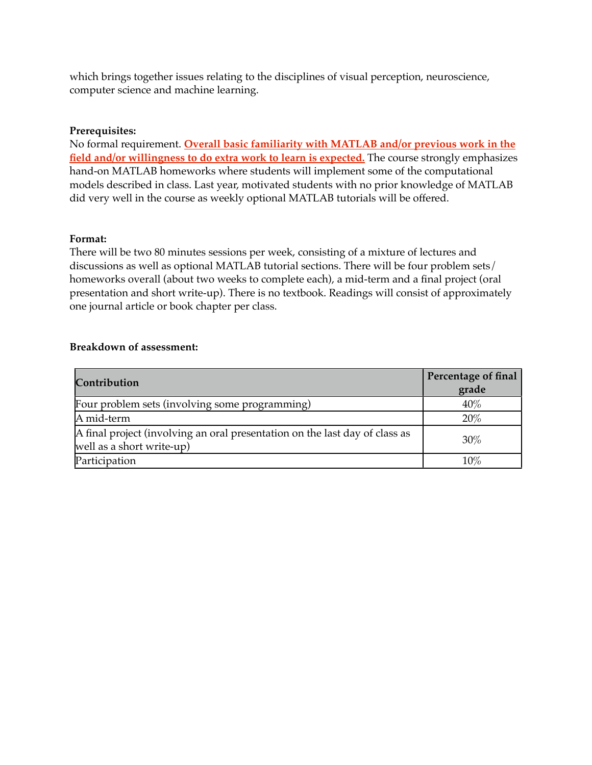which brings together issues relating to the disciplines of visual perception, neuroscience, computer science and machine learning.

## **Prerequisites:**

No formal requirement. **Overall basic familiarity with MATLAB and/or previous work in the field and/or willingness to do extra work to learn is expected.** The course strongly emphasizes hand-on MATLAB homeworks where students will implement some of the computational models described in class. Last year, motivated students with no prior knowledge of MATLAB did very well in the course as weekly optional MATLAB tutorials will be offered.

### **Format:**

There will be two 80 minutes sessions per week, consisting of a mixture of lectures and discussions as well as optional MATLAB tutorial sections. There will be four problem sets/ homeworks overall (about two weeks to complete each), a mid-term and a final project (oral presentation and short write-up). There is no textbook. Readings will consist of approximately one journal article or book chapter per class.

#### **Breakdown of assessment:**

| Contribution                                                                                             | Percentage of final<br>grade |
|----------------------------------------------------------------------------------------------------------|------------------------------|
| Four problem sets (involving some programming)                                                           | $40\%$                       |
| A mid-term                                                                                               | $20\%$                       |
| A final project (involving an oral presentation on the last day of class as<br>well as a short write-up) | 30%                          |
| Participation                                                                                            | $10\%$                       |